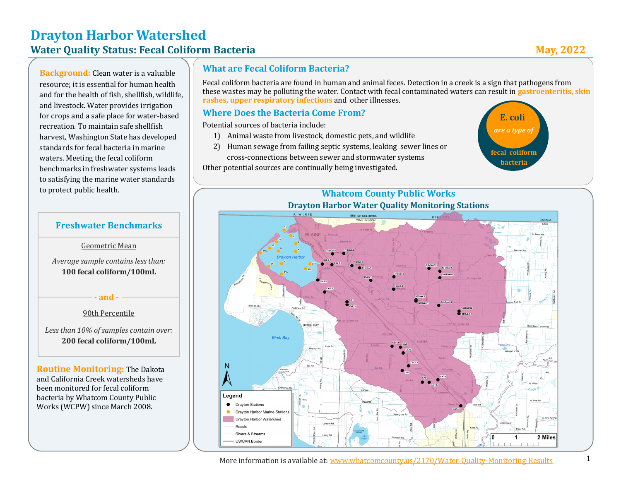# **Drayton Harbor Watershed Water Quality Status: Fecal Coliform Bacteria May, 2022**

**Background:** Clean water is a valuable resource; it is essential for human health and for the health of fish, shellfish, wildlife, and livestock. Water provides irrigation for crops and a safe place for water-based recreation. To maintain safe shellfish harvest, Washington State has developed standards for fecal bacteria in marine waters. Meeting the fecal coliform benchmarks in freshwater systems leads to satisfying the marine water standards to protect public health.

#### **What are Fecal Coliform Bacteria?**

Fecal coliform bacteria are found in human and animal feces. Detection in a creek is a sign that pathogens from these wastes may be polluting the water. Contact with fecal contaminated waters can result in **gastroenteritis, skin rashes, upper respiratory infections** and other illnesses.

#### **Where Does the Bacteria Come From?**

Potential sources of bacteria include:

- 1) Animal waste from livestock, domestic pets, and wildlife
- 2) Human sewage from failing septic systems, leaking sewer lines or cross-connections between sewer and stormwater systems

Other potential sources are continually being investigated.



# **Whatcom County Public Works**



#### **Freshwater Benchmarks**

#### Geometric Mean

*Average sample contains less than:* **100 fecal coliform/100mL**

**- and -**

#### 90th Percentile

*Less than 10% of samples contain over:*  **200 fecal coliform/100mL**

**Routine Monitoring:** The Dakota and California Creek watersheds have been monitored for fecal coliform bacteria by Whatcom County Public Works (WCPW) since March 2008.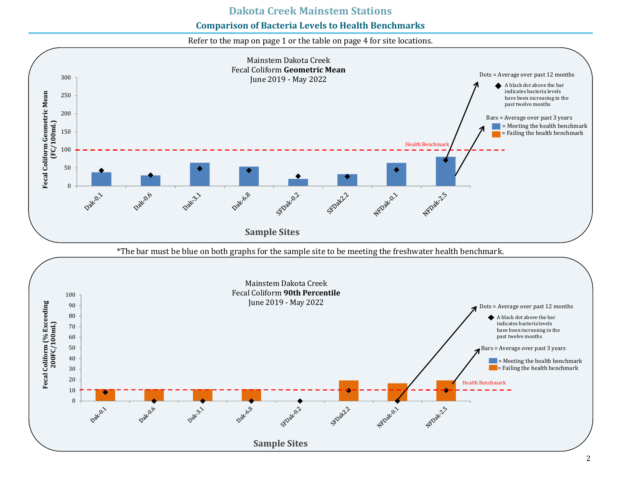#### **Comparison of Bacteria Levels to Health Benchmarks**

Refer to the map on page 1 or the table on page 4 for site locations.

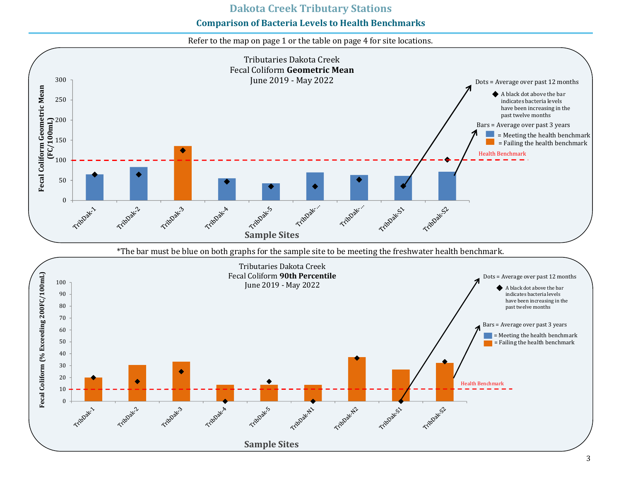#### **Dakota Creek Tributary Stations**

#### **Comparison of Bacteria Levels to Health Benchmarks**

Refer to the map on page 1 or the table on page 4 for site locations.

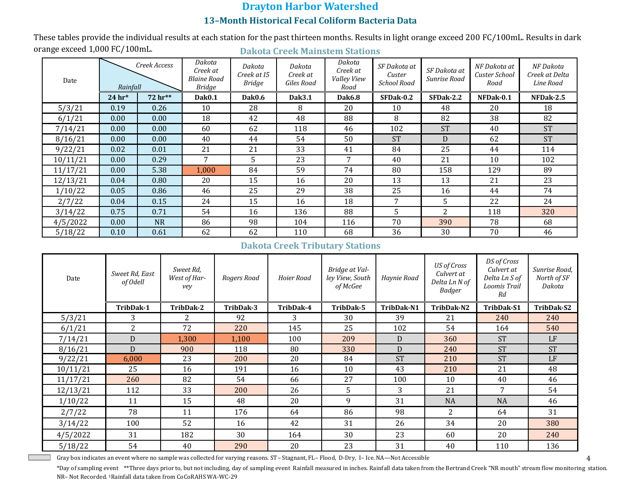## **Drayton Harbor Watershed 13–Month Historical Fecal Coliform Bacteria Data**

**Dakota Creek Mainstem Stations** These tables provide the individual results at each station for the past thirteen months. Results in light orange exceed 200 FC/100mL. Results in dark orange exceed 1,000 FC/100mL.

| Date     | Creek Access<br>Rainfall |           | Dakota<br>Creek at<br><b>Blaine Road</b><br><b>Bridge</b> | Dakota<br>Creek at 15<br><b>Bridge</b> | Dakota<br>Creek at<br>Giles Road | Dakota<br>Creek at<br><b>Valley View</b><br>Road | SF Dakota at<br>Custer<br><b>School Road</b> | SF Dakota at<br>Sunrise Road | NF Dakota at<br>Custer School<br>Road | NF Dakota<br>Creek at Delta<br>Line Road |
|----------|--------------------------|-----------|-----------------------------------------------------------|----------------------------------------|----------------------------------|--------------------------------------------------|----------------------------------------------|------------------------------|---------------------------------------|------------------------------------------|
|          | $24$ hr*                 | 72 hr**   | <b>Dak0.1</b>                                             | Dak0.6                                 | Dak3.1                           | Dak6.8                                           | SFDak-0.2                                    | SFDak-2.2                    | NFDak-0.1                             | NFDak-2.5                                |
| 5/3/21   | 0.19                     | 0.26      | 10                                                        | 28                                     | 8                                | 20                                               | 10                                           | 48                           | 20                                    | 18                                       |
| 6/1/21   | 0.00                     | 0.00      | 18                                                        | 42                                     | 48                               | 88                                               | 8                                            | 82                           | 38                                    | 82                                       |
| 7/14/21  | 0.00                     | 0.00      | 60                                                        | 62                                     | 118                              | 46                                               | 102                                          | <b>ST</b>                    | 40                                    | <b>ST</b>                                |
| 8/16/21  | 0.00                     | 0.00      | 40                                                        | 44                                     | 54                               | 50                                               | <b>ST</b>                                    | D                            | 62                                    | <b>ST</b>                                |
| 9/22/21  | 0.02                     | 0.01      | 21                                                        | 21                                     | 33                               | 41                                               | 84                                           | 25                           | 44                                    | 114                                      |
| 10/11/21 | 0.00                     | 0.29      | 7                                                         | 5                                      | 23                               | 7                                                | 40                                           | 21                           | 10                                    | 102                                      |
| 11/17/21 | 0.00                     | 5.38      | 1,000                                                     | 84                                     | 59                               | 74                                               | 80                                           | 158                          | 129                                   | 89                                       |
| 12/13/21 | 0.04                     | 0.80      | 20                                                        | 15                                     | 16                               | 20                                               | 13                                           | 13                           | 21                                    | 23                                       |
| 1/10/22  | 0.05                     | 0.86      | 46                                                        | 25                                     | 29                               | 38                                               | 25                                           | 16                           | 44                                    | 74                                       |
| 2/7/22   | 0.04                     | 0.15      | 24                                                        | 15                                     | 16                               | 18                                               | 7                                            | 5.                           | 22                                    | 24                                       |
| 3/14/22  | 0.75                     | 0.71      | 54                                                        | 16                                     | 136                              | 88                                               | 5                                            | 2                            | 118                                   | 320                                      |
| 4/5/2022 | 0.00                     | <b>NR</b> | 86                                                        | 98                                     | 104                              | 116                                              | 70                                           | 390                          | 78                                    | 68                                       |
| 5/18/22  | 0.10                     | 0.61      | 62                                                        | 62                                     | 110                              | 68                                               | 36                                           | 30                           | 70                                    | 46                                       |

#### **Dakota Creek Tributary Stations**

| Date     | Sweet Rd, East<br>of Odell | Sweet Rd,<br>West of Har-<br>vey | Rogers Road | Hoier Road | Bridge at Val-<br>ley View, South<br>of McGee | Haynie Road | <b>US</b> of Cross<br>Culvert at<br>Delta Ln N of<br>Badger | DS of Cross<br>Culvert at<br>Delta Ln S of<br>Loomis Trail<br>Rd | Sunrise Road,<br>North of SF<br>Dakota |
|----------|----------------------------|----------------------------------|-------------|------------|-----------------------------------------------|-------------|-------------------------------------------------------------|------------------------------------------------------------------|----------------------------------------|
|          | TribDak-1                  | TribDak-2                        | TribDak-3   | TribDak-4  | TribDak-5                                     | TribDak-N1  | TribDak-N2                                                  | TribDak-S1                                                       | TribDak-S2                             |
| 5/3/21   | 3                          |                                  | 92          | 3          | 30                                            | 39          | 21                                                          | 240                                                              | 240                                    |
| 6/1/21   | 2                          | 72                               | 220         | 145        | 25                                            | 102         | 54                                                          | 164                                                              | 540                                    |
| 7/14/21  | D                          | 1,300                            | 1,100       | 100        | 209                                           | D           | 360                                                         | <b>ST</b>                                                        | LF                                     |
| 8/16/21  | D                          | 900                              | 118         | 80         | 330                                           | D           | 240                                                         | <b>ST</b>                                                        | <b>ST</b>                              |
| 9/22/21  | 6,000                      | 23                               | 200         | 20         | 84                                            | <b>ST</b>   | 210                                                         | <b>ST</b>                                                        | LF                                     |
| 10/11/21 | 25                         | 16                               | 191         | 16         | 10                                            | 43          | 210                                                         | 21                                                               | 48                                     |
| 11/17/21 | 260                        | 82                               | 54          | 66         | 27                                            | 100         | 10                                                          | 40                                                               | 46                                     |
| 12/13/21 | 112                        | 33                               | 200         | 26         | 5.                                            | 3           | 21                                                          | 7                                                                | 54                                     |
| 1/10/22  | 11                         | 15                               | 48          | 20         | 9                                             | 31          | <b>NA</b>                                                   | <b>NA</b>                                                        | 46                                     |
| 2/7/22   | 78                         | 11                               | 176         | 64         | 86                                            | 98          | 2                                                           | 64                                                               | 31                                     |
| 3/14/22  | 100                        | 52                               | 16          | 42         | 31                                            | 26          | 34                                                          | 20                                                               | 380                                    |
| 4/5/2022 | 31                         | 182                              | 30          | 164        | 30                                            | 23          | 60                                                          | 20                                                               | 240                                    |
| 5/18/22  | 54                         | 40                               | 290         | 20         | 23                                            | 31          | 40                                                          | 110                                                              | 136                                    |

Gray box indicates an event where no sample was collected for varying reasons. ST– Stagnant, FL– Flood, D-Dry, I– Ice. NA—Not Accessible

4

\*Day of sampling event \*\*Three days prior to, but not including, day of sampling event Rainfall measured in inches. Rainfall data taken from the Bertrand Creek "NR mouth" stream flow monitoring station. NR– Not Recorded. 1Rainfall data taken from CoCoRAHS WA-WC-29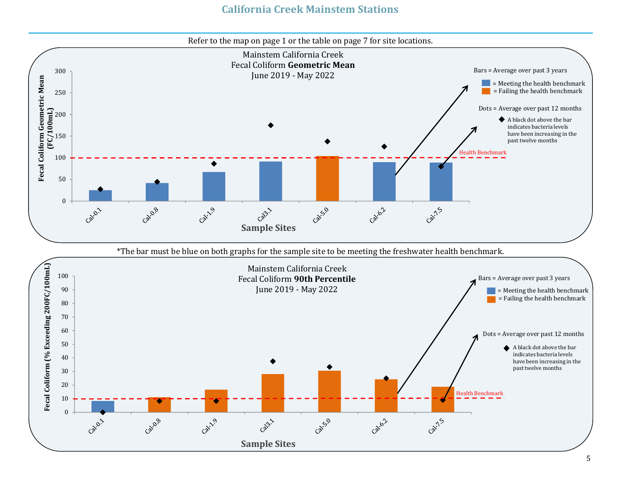# **California Creek Mainstem Stations**

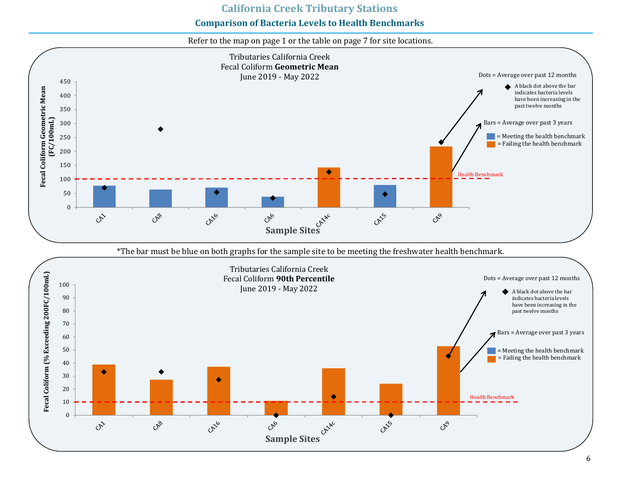### **California Creek Tributary Stations**

## **Comparison of Bacteria Levels to Health Benchmarks**